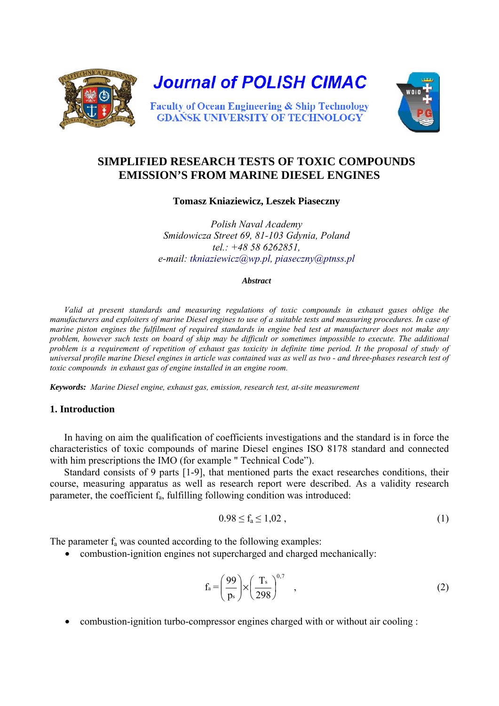

# **SIMPLIFIED RESEARCH TESTS OF TOXIC COMPOUNDS EMISSION'S FROM MARINE DIESEL ENGINES**

**Tomasz Kniaziewicz, Leszek Piaseczny** 

*Polish Naval Academy Smidowicza Street 69, 81-103 Gdynia, Poland tel.: +48 58 6262851, e-mail: [tkniaziewicz@wp.pl,](mailto:tkniaziewicz@wp.pl) [piaseczny@ptnss.pl](mailto:piaseczny@ptnss.pl)*

#### *Abstract*

*Valid at present standards and measuring regulations of toxic compounds in exhaust gases oblige the manufacturers and exploiters of marine Diesel engines to use of a suitable tests and measuring procedures. In case of marine piston engines the fulfilment of required standards in engine bed test at manufacturer does not make any problem, however such tests on board of ship may be difficult or sometimes impossible to execute. The additional*  problem is a requirement of repetition of exhaust gas toxicity in definite time period. It the proposal of study of *universal profile marine Diesel engines in article was contained was as well as two - and three-phases research test of toxic compounds in exhaust gas of engine installed in an engine room.* 

*Keywords: Marine Diesel engine, exhaust gas, emission, research test, at-site measurement* 

# **1. Introduction**

In having on aim the qualification of coefficients investigations and the standard is in force the characteristics of toxic compounds of marine Diesel engines ISO 8178 standard and connected with him prescriptions the IMO (for example " Technical Code").

Standard consists of 9 parts [1-9], that mentioned parts the exact researches conditions, their course, measuring apparatus as well as research report were described. As a validity research parameter, the coefficient  $f_a$ , fulfilling following condition was introduced:

$$
0.98 \le f_a \le 1{,}02 \t{,} \t(1)
$$

The parameter  $f_a$  was counted according to the following examples:

• combustion-ignition engines not supercharged and charged mechanically:

$$
f_a = \left(\frac{99}{p_s}\right) \times \left(\frac{T_s}{298}\right)^{0,7} \quad , \tag{2}
$$

• combustion-ignition turbo-compressor engines charged with or without air cooling :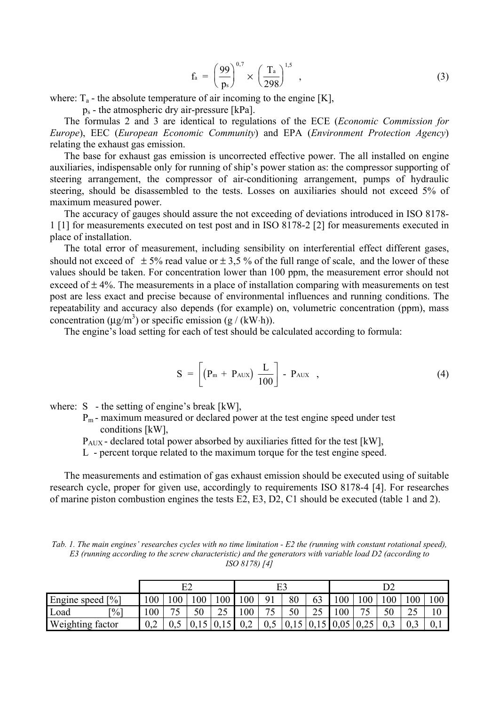$$
f_a = \left(\frac{99}{p_s}\right)^{0,7} \times \left(\frac{T_a}{298}\right)^{1,5} \tag{3}
$$

where:  $T_a$  - the absolute temperature of air incoming to the engine [K],

 $p_s$  - the atmospheric dry air-pressure [kPa].

The formulas 2 and 3 are identical to regulations of the ECE (*Economic Commission for Europe*), EEC (*European Economic Community*) and EPA (*Environment Protection Agency*) relating the exhaust gas emission.

The base for exhaust gas emission is uncorrected effective power. The all installed on engine auxiliaries, indispensable only for running of ship's power station as: the compressor supporting of steering arrangement, the compressor of air-conditioning arrangement, pumps of hydraulic steering, should be disassembled to the tests. Losses on auxiliaries should not exceed 5% of maximum measured power.

The accuracy of gauges should assure the not exceeding of deviations introduced in ISO 8178- 1 [1] for measurements executed on test post and in ISO 8178-2 [2] for measurements executed in place of installation.

The total error of measurement, including sensibility on interferential effect different gases, should not exceed of  $\pm$  5% read value or  $\pm$  3,5% of the full range of scale, and the lower of these values should be taken. For concentration lower than 100 ppm, the measurement error should not exceed of  $\pm$  4%. The measurements in a place of installation comparing with measurements on test post are less exact and precise because of environmental influences and running conditions. The repeatability and accuracy also depends (for example) on, volumetric concentration (ppm), mass concentration ( $\mu$ g/m<sup>3</sup>) or specific emission (g / (kW⋅h)).

The engine's load setting for each of test should be calculated according to formula:

$$
S = \left[ \left( P_m + P_{AUX} \right) \frac{L}{100} \right] - P_{AUX} \quad , \tag{4}
$$

where:  $S$  - the setting of engine's break [kW],

 Pm - maximum measured or declared power at the test engine speed under test conditions [kW],

PAUX - declared total power absorbed by auxiliaries fitted for the test [kW],

L - percent torque related to the maximum torque for the test engine speed.

The measurements and estimation of gas exhaust emission should be executed using of suitable research cycle, proper for given use, accordingly to requirements ISO 8178-4 [4]. For researches of marine piston combustion engines the tests E2, E3, D2, C1 should be executed (table 1 and 2).

*Tab. 1. The main engines' researches cycles with no time limitation - E2 the (running with constant rotational speed), E3 (running according to the screw characteristic) and the generators with variable load D2 (according to ISO 8178) [4]* 

|                                   | E2  |                |      |               |     |                |      |    |      |      |     |          |     |
|-----------------------------------|-----|----------------|------|---------------|-----|----------------|------|----|------|------|-----|----------|-----|
| Engine speed<br>$\lceil\% \rceil$ | 100 | 0 <sub>0</sub> | 00   | 100           | 00  | Q <sub>1</sub> | 80   | 63 | 00   | 100  | 100 | 00       | 100 |
| Load<br>$\lceil\% \rceil$         | 100 | コピ<br>ت        | 50   | $\cap$<br>ر ب | 00  | חר             | 50   | 25 | 00   |      | 50  | Ωc<br>نە |     |
| Weighting factor                  | ◡、↩ | U.J            | 0,15 |               | 0,2 | U.J            | 0.1J |    | 0,05 | 0,25 | 0.3 |          | 0.1 |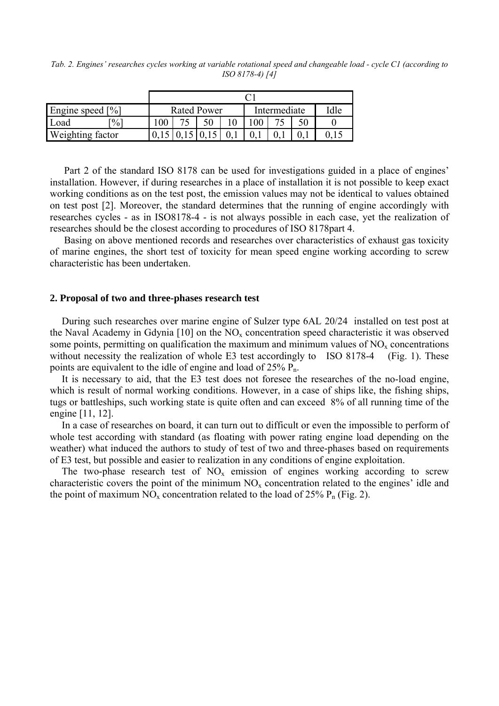*Tab. 2. Engines' researches cycles working at variable rotational speed and changeable load - cycle C1 (according to ISO 8178-4) [4]* 

| Engine speed [%]        | <b>Rated Power</b> |  |  |  | Intermediate | Idle |  |  |  |  |
|-------------------------|--------------------|--|--|--|--------------|------|--|--|--|--|
| Load<br>$\frac{1}{2}$   | $\overline{00}$    |  |  |  |              |      |  |  |  |  |
| <b>Weighting factor</b> |                    |  |  |  |              |      |  |  |  |  |

Part 2 of the standard ISO 8178 can be used for investigations guided in a place of engines' installation. However, if during researches in a place of installation it is not possible to keep exact working conditions as on the test post, the emission values may not be identical to values obtained on test post [2]. Moreover, the standard determines that the running of engine accordingly with researches cycles - as in ISO8178-4 - is not always possible in each case, yet the realization of researches should be the closest according to procedures of ISO 8178part 4.

Basing on above mentioned records and researches over characteristics of exhaust gas toxicity of marine engines, the short test of toxicity for mean speed engine working according to screw characteristic has been undertaken.

## **2. Proposal of two and three-phases research test**

During such researches over marine engine of Sulzer type 6AL 20/24 installed on test post at the Naval Academy in Gdynia [10] on the  $NO<sub>x</sub>$  concentration speed characteristic it was observed some points, permitting on qualification the maximum and minimum values of  $NO<sub>x</sub>$  concentrations without necessity the realization of whole E3 test accordingly to ISO 8178-4 (Fig. 1). These points are equivalent to the idle of engine and load of  $25\%$   $P_n$ .

It is necessary to aid, that the E3 test does not foresee the researches of the no-load engine, which is result of normal working conditions. However, in a case of ships like, the fishing ships, tugs or battleships, such working state is quite often and can exceed 8% of all running time of the engine [11, 12].

In a case of researches on board, it can turn out to difficult or even the impossible to perform of whole test according with standard (as floating with power rating engine load depending on the weather) what induced the authors to study of test of two and three-phases based on requirements of E3 test, but possible and easier to realization in any conditions of engine exploitation.

The two-phase research test of  $NO<sub>x</sub>$  emission of engines working according to screw characteristic covers the point of the minimum  $NO<sub>x</sub>$  concentration related to the engines' idle and the point of maximum  $NO_x$  concentration related to the load of 25%  $P_n$  (Fig. 2).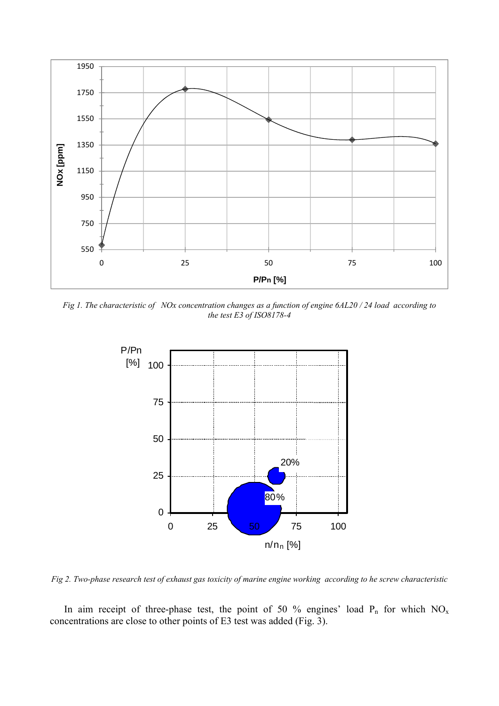

*Fig 1. The characteristic of NOx concentration changes as a function of engine 6AL20 / 24 load according to the test E3 of ISO8178-4* 



*Fig 2. Two-phase research test of exhaust gas toxicity of marine engine working according to he screw characteristic* 

In aim receipt of three-phase test, the point of 50 % engines' load  $P_n$  for which  $NO_x$ concentrations are close to other points of E3 test was added (Fig. 3).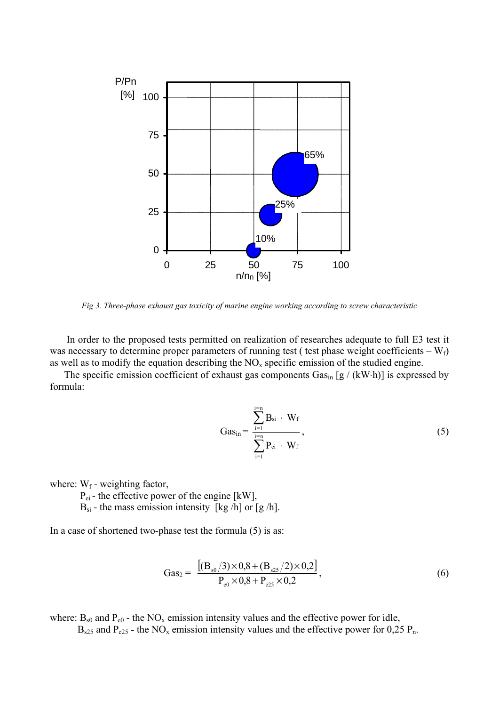

*Fig 3. Three-phase exhaust gas toxicity of marine engine working according to screw characteristic* 

 In order to the proposed tests permitted on realization of researches adequate to full E3 test it was necessary to determine proper parameters of running test ( test phase weight coefficients –  $W_f$ ) as well as to modify the equation describing the  $NO<sub>x</sub>$  specific emission of the studied engine.

The specific emission coefficient of exhaust gas components  $Gas_{in} [g / (kW·h)]$  is expressed by formula:

$$
Gas_{in} = \frac{\sum_{i=1}^{i=n} B_{si} \cdot W_f}{\sum_{i=1}^{i=n} P_{ei} \cdot W_f},
$$
\n(5)

where:  $W_f$  - weighting factor,

P<sub>ei</sub> - the effective power of the engine [kW],

 $B_{si}$  - the mass emission intensity [kg /h] or [g /h].

In a case of shortened two-phase test the formula (5) is as:

$$
Gas_2 = \frac{[(B_{s0}/3) \times 0.8 + (B_{s25}/2) \times 0.2]}{P_{e0} \times 0.8 + P_{e25} \times 0.2},
$$
\n(6)

where:  $B_{s0}$  and  $P_{e0}$  - the NO<sub>x</sub> emission intensity values and the effective power for idle,

 $B_{s25}$  and  $P_{e25}$  - the NO<sub>x</sub> emission intensity values and the effective power for 0,25 P<sub>n</sub>.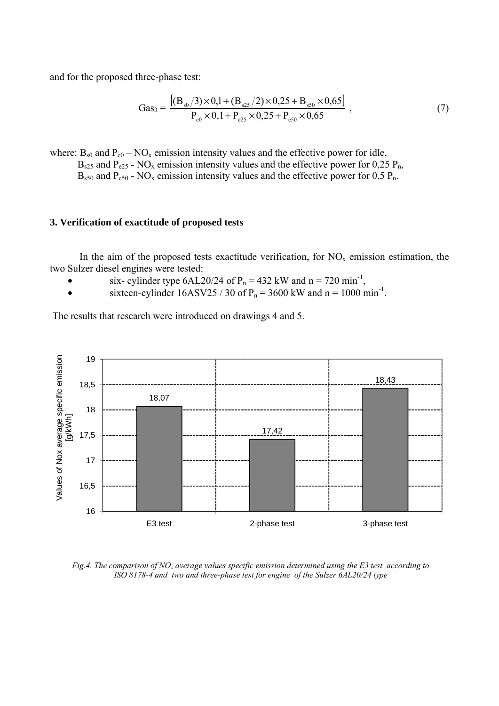and for the proposed three-phase test:

$$
Gas_3 = \frac{[(B_{s0}/3) \times 0.1 + (B_{s25}/2) \times 0.25 + B_{s50} \times 0.65]}{P_{e0} \times 0.1 + P_{e25} \times 0.25 + P_{e50} \times 0.65},
$$
(7)

 $B_{s50}$  and  $P_{e50}$  - NO<sub>x</sub> emission intensity values and the effective power for 0,5 P<sub>n</sub>. where:  $B_{s0}$  and  $P_{e0}$  – NO<sub>x</sub> emission intensity values and the effective power for idle,  $B_{s25}$  and  $P_{e25}$  - NO<sub>x</sub> emission intensity values and the effective power for 0,25 P<sub>n</sub>,

## **. Verification of exactitude of proposed tests 3**

In the aim of the proposed tests exactitude verification, for  $NO<sub>x</sub>$  emission estimation, the two Sulzer diesel engines were tested:

- six- cylinder type  $6AL20/24$  of  $P_n = 432$  kW and  $n = 720$  min<sup>-1</sup>,
- sixteen-cylinder  $16ASV25 / 30$  of  $P_n = 3600$  kW and  $n = 1000$  min<sup>-1</sup>.

The results that research were introduced on drawings 4 and 5.



Fig.4. The comparison of  $NO<sub>x</sub>$  average values specific emission determined using the E3 test according to *ISO 8178-4 and two and three-phase test for engine of the Sulzer 6AL20/24 type*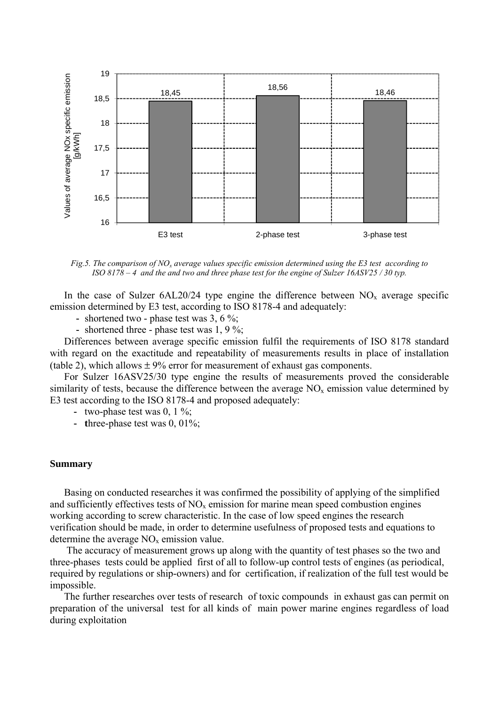

*Fig.5. The comparison of NOx average values specific emission determined using the E3 test according to ISO 8178 – 4 and the and two and three phase test for the engine of Sulzer 16ASV25 / 30 typ.* 

In the case of Sulzer  $6AL20/24$  type engine the difference between  $NO<sub>x</sub>$  average specific emission determined by E3 test, according to ISO 8178-4 and adequately:

- shortened two phase test was 3, 6 %;
- shortened three phase test was 1, 9 %;

Differences between average specific emission fulfil the requirements of ISO 8178 standard with regard on the exactitude and repeatability of measurements results in place of installation (table 2), which allows  $\pm$  9% error for measurement of exhaust gas components.

For Sulzer 16ASV25/30 type engine the results of measurements proved the considerable similarity of tests, because the difference between the average  $NO<sub>x</sub>$  emission value determined by E3 test according to the ISO 8178-4 and proposed adequately:

- two-phase test was 0, 1 %;
- **t**hree-phase test was 0, 01%;

### **Summary**

Basing on conducted researches it was confirmed the possibility of applying of the simplified and sufficiently effectives tests of  $NO<sub>x</sub>$  emission for marine mean speed combustion engines working according to screw characteristic. In the case of low speed engines the research verification should be made, in order to determine usefulness of proposed tests and equations to determine the average  $NO<sub>x</sub>$  emission value.

 The accuracy of measurement grows up along with the quantity of test phases so the two and three-phases tests could be applied first of all to follow-up control tests of engines (as periodical, required by regulations or ship-owners) and for certification, if realization of the full test would be impossible.

The further researches over tests of research of toxic compounds in exhaust gas can permit on preparation of the universal test for all kinds of main power marine engines regardless of load during exploitation